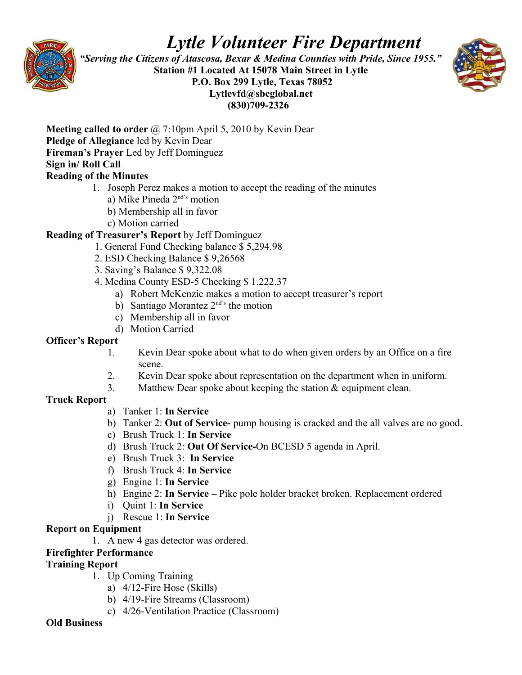

# *Lytle Volunteer Fire Department*

 *"Serving the Citizens of Atascosa, Bexar & Medina Counties with Pride, Since 1955."*  **Station #1 Located At 15078 Main Street in Lytle P.O. Box 299 Lytle, Texas 78052 Lytlevfd@sbcglobal.net (830)709-2326**



**Meeting called to order** @ 7:10pm April 5, 2010 by Kevin Dear **Pledge of Allegiance** led by Kevin Dear **Fireman's Prayer** Led by Jeff Dominguez **Sign in/ Roll Call** 

## **Reading of the Minutes**

- 1. Joseph Perez makes a motion to accept the reading of the minutes
	- a) Mike Pineda 2nd's motion
	- b) Membership all in favor
	- c) Motion carried

## **Reading of Treasurer's Report** by Jeff Dominguez

- 1. General Fund Checking balance \$ 5,294.98
- 2. ESD Checking Balance \$ 9,26568
- 3. Saving's Balance \$ 9,322.08
- 4. Medina County ESD-5 Checking \$ 1,222.37
	- a) Robert McKenzie makes a motion to accept treasurer's report
	- b) Santiago Morantez  $2<sup>nd's</sup>$  the motion
	- c) Membership all in favor
	- d) Motion Carried

#### **Officer's Report**

- 1. Kevin Dear spoke about what to do when given orders by an Office on a fire scene.
- 2. Kevin Dear spoke about representation on the department when in uniform.
- 3. Matthew Dear spoke about keeping the station & equipment clean.

## **Truck Report**

- a) Tanker 1: **In Service**
- b) Tanker 2: **Out of Service-** pump housing is cracked and the all valves are no good.
- c) Brush Truck 1: **In Service**
- d) Brush Truck 2: **Out Of Service-**On BCESD 5 agenda in April.
- e) Brush Truck 3: **In Service**
- f) Brush Truck 4: **In Service**
- g) Engine 1: **In Service**
- h) Engine 2: **In Service** Pike pole holder bracket broken. Replacement ordered
- i) Quint 1: **In Service**
- j) Rescue 1: **In Service**

## **Report on Equipment**

1. A new 4 gas detector was ordered.

## **Firefighter Performance**

## **Training Report**

- 1. Up Coming Training
	- a) 4/12-Fire Hose (Skills)
	- b) 4/19-Fire Streams (Classroom)
	- c) 4/26-Ventilation Practice (Classroom)

#### **Old Business**